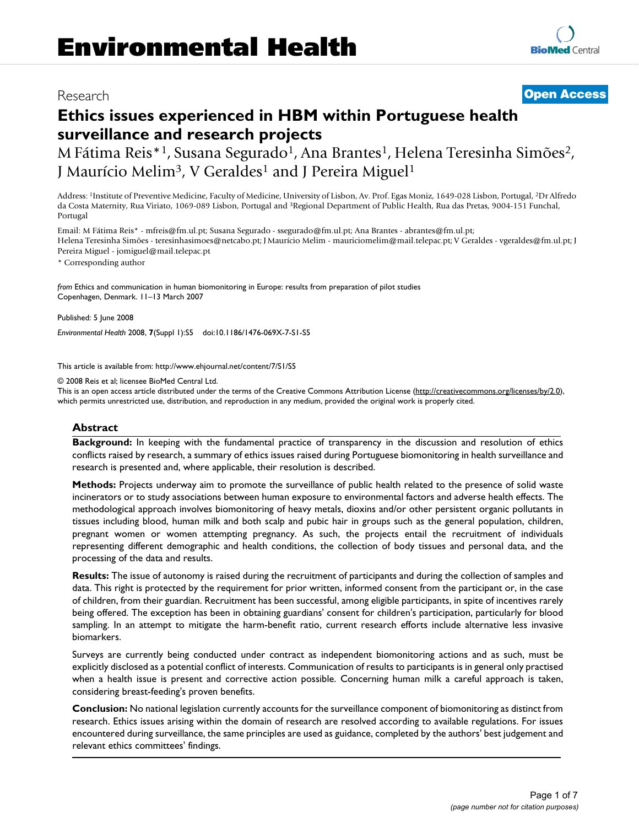## Research **[Open Access](http://www.biomedcentral.com/info/about/charter/)**

# **Ethics issues experienced in HBM within Portuguese health surveillance and research projects**

M Fátima Reis<sup>\*1</sup>, Susana Segurado<sup>1</sup>, Ana Brantes<sup>1</sup>, Helena Teresinha Simões<sup>2</sup>, J Maurício Melim<sup>3</sup>, V Geraldes<sup>1</sup> and J Pereira Miguel<sup>1</sup>

Address: 1Institute of Preventive Medicine, Faculty of Medicine, University of Lisbon, Av. Prof. Egas Moniz, 1649-028 Lisbon, Portugal, 2Dr Alfredo da Costa Maternity, Rua Viriato, 1069-089 Lisbon, Portugal and 3Regional Department of Public Health, Rua das Pretas, 9004-151 Funchal, Portugal

Email: M Fátima Reis\* - mfreis@fm.ul.pt; Susana Segurado - ssegurado@fm.ul.pt; Ana Brantes - abrantes@fm.ul.pt; Helena Teresinha Simões - teresinhasimoes@netcabo.pt; J Maurício Melim - mauriciomelim@mail.telepac.pt; V Geraldes - vgeraldes@fm.ul.pt; J Pereira Miguel - jomiguel@mail.telepac.pt

\* Corresponding author

*from* Ethics and communication in human biomonitoring in Europe: results from preparation of pilot studies Copenhagen, Denmark. 11–13 March 2007

Published: 5 June 2008

*Environmental Health* 2008, **7**(Suppl 1):S5 doi:10.1186/1476-069X-7-S1-S5

[This article is available from: http://www.ehjournal.net/content/7/S1/S5](http://www.ehjournal.net/content/7/S1/S5)

© 2008 Reis et al; licensee BioMed Central Ltd.

This is an open access article distributed under the terms of the Creative Commons Attribution License [\(http://creativecommons.org/licenses/by/2.0\)](http://creativecommons.org/licenses/by/2.0), which permits unrestricted use, distribution, and reproduction in any medium, provided the original work is properly cited.

#### **Abstract**

**Background:** In keeping with the fundamental practice of transparency in the discussion and resolution of ethics conflicts raised by research, a summary of ethics issues raised during Portuguese biomonitoring in health surveillance and research is presented and, where applicable, their resolution is described.

**Methods:** Projects underway aim to promote the surveillance of public health related to the presence of solid waste incinerators or to study associations between human exposure to environmental factors and adverse health effects. The methodological approach involves biomonitoring of heavy metals, dioxins and/or other persistent organic pollutants in tissues including blood, human milk and both scalp and pubic hair in groups such as the general population, children, pregnant women or women attempting pregnancy. As such, the projects entail the recruitment of individuals representing different demographic and health conditions, the collection of body tissues and personal data, and the processing of the data and results.

**Results:** The issue of autonomy is raised during the recruitment of participants and during the collection of samples and data. This right is protected by the requirement for prior written, informed consent from the participant or, in the case of children, from their guardian. Recruitment has been successful, among eligible participants, in spite of incentives rarely being offered. The exception has been in obtaining guardians' consent for children's participation, particularly for blood sampling. In an attempt to mitigate the harm-benefit ratio, current research efforts include alternative less invasive biomarkers.

Surveys are currently being conducted under contract as independent biomonitoring actions and as such, must be explicitly disclosed as a potential conflict of interests. Communication of results to participants is in general only practised when a health issue is present and corrective action possible. Concerning human milk a careful approach is taken, considering breast-feeding's proven benefits.

**Conclusion:** No national legislation currently accounts for the surveillance component of biomonitoring as distinct from research. Ethics issues arising within the domain of research are resolved according to available regulations. For issues encountered during surveillance, the same principles are used as guidance, completed by the authors' best judgement and relevant ethics committees' findings.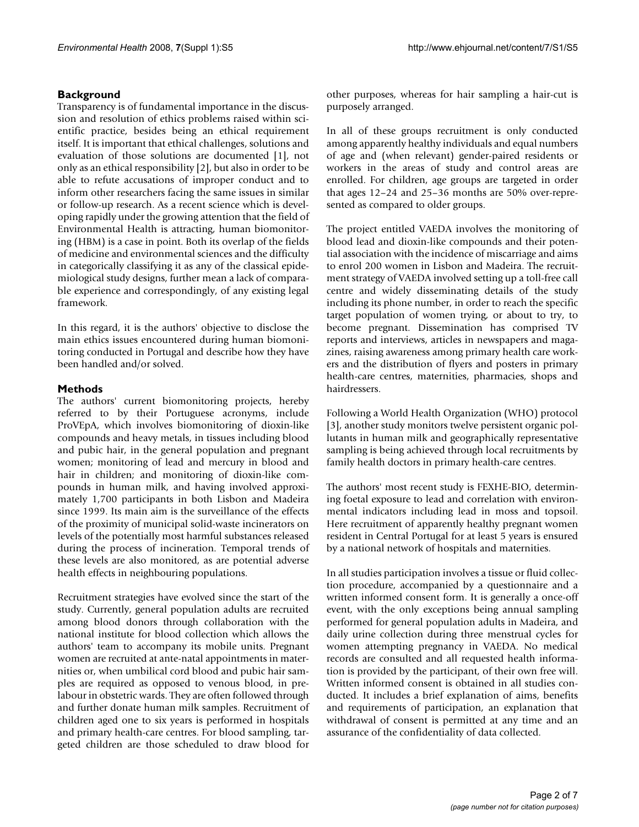#### **Background**

Transparency is of fundamental importance in the discussion and resolution of ethics problems raised within scientific practice, besides being an ethical requirement itself. It is important that ethical challenges, solutions and evaluation of those solutions are documented [1], not only as an ethical responsibility [2], but also in order to be able to refute accusations of improper conduct and to inform other researchers facing the same issues in similar or follow-up research. As a recent science which is developing rapidly under the growing attention that the field of Environmental Health is attracting, human biomonitoring (HBM) is a case in point. Both its overlap of the fields of medicine and environmental sciences and the difficulty in categorically classifying it as any of the classical epidemiological study designs, further mean a lack of comparable experience and correspondingly, of any existing legal framework.

In this regard, it is the authors' objective to disclose the main ethics issues encountered during human biomonitoring conducted in Portugal and describe how they have been handled and/or solved.

#### **Methods**

The authors' current biomonitoring projects, hereby referred to by their Portuguese acronyms, include ProVEpA, which involves biomonitoring of dioxin-like compounds and heavy metals, in tissues including blood and pubic hair, in the general population and pregnant women; monitoring of lead and mercury in blood and hair in children; and monitoring of dioxin-like compounds in human milk, and having involved approximately 1,700 participants in both Lisbon and Madeira since 1999. Its main aim is the surveillance of the effects of the proximity of municipal solid-waste incinerators on levels of the potentially most harmful substances released during the process of incineration. Temporal trends of these levels are also monitored, as are potential adverse health effects in neighbouring populations.

Recruitment strategies have evolved since the start of the study. Currently, general population adults are recruited among blood donors through collaboration with the national institute for blood collection which allows the authors' team to accompany its mobile units. Pregnant women are recruited at ante-natal appointments in maternities or, when umbilical cord blood and pubic hair samples are required as opposed to venous blood, in prelabour in obstetric wards. They are often followed through and further donate human milk samples. Recruitment of children aged one to six years is performed in hospitals and primary health-care centres. For blood sampling, targeted children are those scheduled to draw blood for other purposes, whereas for hair sampling a hair-cut is purposely arranged.

In all of these groups recruitment is only conducted among apparently healthy individuals and equal numbers of age and (when relevant) gender-paired residents or workers in the areas of study and control areas are enrolled. For children, age groups are targeted in order that ages 12–24 and 25–36 months are 50% over-represented as compared to older groups.

The project entitled VAEDA involves the monitoring of blood lead and dioxin-like compounds and their potential association with the incidence of miscarriage and aims to enrol 200 women in Lisbon and Madeira. The recruitment strategy of VAEDA involved setting up a toll-free call centre and widely disseminating details of the study including its phone number, in order to reach the specific target population of women trying, or about to try, to become pregnant. Dissemination has comprised TV reports and interviews, articles in newspapers and magazines, raising awareness among primary health care workers and the distribution of flyers and posters in primary health-care centres, maternities, pharmacies, shops and hairdressers.

Following a World Health Organization (WHO) protocol [3], another study monitors twelve persistent organic pollutants in human milk and geographically representative sampling is being achieved through local recruitments by family health doctors in primary health-care centres.

The authors' most recent study is FEXHE-BIO, determining foetal exposure to lead and correlation with environmental indicators including lead in moss and topsoil. Here recruitment of apparently healthy pregnant women resident in Central Portugal for at least 5 years is ensured by a national network of hospitals and maternities.

In all studies participation involves a tissue or fluid collection procedure, accompanied by a questionnaire and a written informed consent form. It is generally a once-off event, with the only exceptions being annual sampling performed for general population adults in Madeira, and daily urine collection during three menstrual cycles for women attempting pregnancy in VAEDA. No medical records are consulted and all requested health information is provided by the participant, of their own free will. Written informed consent is obtained in all studies conducted. It includes a brief explanation of aims, benefits and requirements of participation, an explanation that withdrawal of consent is permitted at any time and an assurance of the confidentiality of data collected.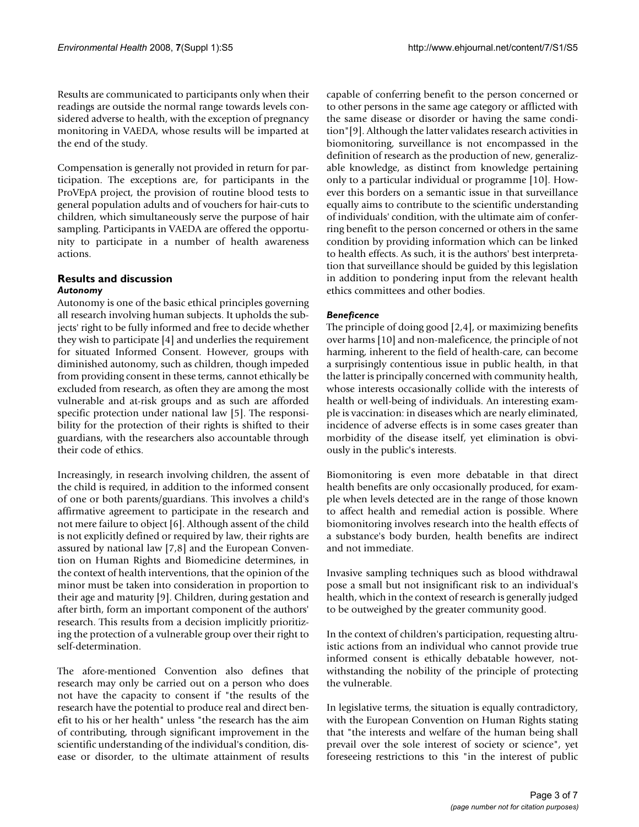Results are communicated to participants only when their readings are outside the normal range towards levels considered adverse to health, with the exception of pregnancy monitoring in VAEDA, whose results will be imparted at the end of the study.

Compensation is generally not provided in return for participation. The exceptions are, for participants in the ProVEpA project, the provision of routine blood tests to general population adults and of vouchers for hair-cuts to children, which simultaneously serve the purpose of hair sampling. Participants in VAEDA are offered the opportunity to participate in a number of health awareness actions.

#### **Results and discussion** *Autonomy*

Autonomy is one of the basic ethical principles governing all research involving human subjects. It upholds the subjects' right to be fully informed and free to decide whether they wish to participate [4] and underlies the requirement for situated Informed Consent. However, groups with diminished autonomy, such as children, though impeded from providing consent in these terms, cannot ethically be excluded from research, as often they are among the most vulnerable and at-risk groups and as such are afforded specific protection under national law [5]. The responsibility for the protection of their rights is shifted to their guardians, with the researchers also accountable through their code of ethics.

Increasingly, in research involving children, the assent of the child is required, in addition to the informed consent of one or both parents/guardians. This involves a child's affirmative agreement to participate in the research and not mere failure to object [6]. Although assent of the child is not explicitly defined or required by law, their rights are assured by national law [7,8] and the European Convention on Human Rights and Biomedicine determines, in the context of health interventions, that the opinion of the minor must be taken into consideration in proportion to their age and maturity [9]. Children, during gestation and after birth, form an important component of the authors' research. This results from a decision implicitly prioritizing the protection of a vulnerable group over their right to self-determination.

The afore-mentioned Convention also defines that research may only be carried out on a person who does not have the capacity to consent if "the results of the research have the potential to produce real and direct benefit to his or her health" unless "the research has the aim of contributing, through significant improvement in the scientific understanding of the individual's condition, disease or disorder, to the ultimate attainment of results capable of conferring benefit to the person concerned or to other persons in the same age category or afflicted with the same disease or disorder or having the same condition"[9]. Although the latter validates research activities in biomonitoring, surveillance is not encompassed in the definition of research as the production of new, generalizable knowledge, as distinct from knowledge pertaining only to a particular individual or programme [10]. However this borders on a semantic issue in that surveillance equally aims to contribute to the scientific understanding of individuals' condition, with the ultimate aim of conferring benefit to the person concerned or others in the same condition by providing information which can be linked to health effects. As such, it is the authors' best interpretation that surveillance should be guided by this legislation in addition to pondering input from the relevant health ethics committees and other bodies.

### *Beneficence*

The principle of doing good [2,4], or maximizing benefits over harms [10] and non-maleficence, the principle of not harming, inherent to the field of health-care, can become a surprisingly contentious issue in public health, in that the latter is principally concerned with community health, whose interests occasionally collide with the interests of health or well-being of individuals. An interesting example is vaccination: in diseases which are nearly eliminated, incidence of adverse effects is in some cases greater than morbidity of the disease itself, yet elimination is obviously in the public's interests.

Biomonitoring is even more debatable in that direct health benefits are only occasionally produced, for example when levels detected are in the range of those known to affect health and remedial action is possible. Where biomonitoring involves research into the health effects of a substance's body burden, health benefits are indirect and not immediate.

Invasive sampling techniques such as blood withdrawal pose a small but not insignificant risk to an individual's health, which in the context of research is generally judged to be outweighed by the greater community good.

In the context of children's participation, requesting altruistic actions from an individual who cannot provide true informed consent is ethically debatable however, notwithstanding the nobility of the principle of protecting the vulnerable.

In legislative terms, the situation is equally contradictory, with the European Convention on Human Rights stating that "the interests and welfare of the human being shall prevail over the sole interest of society or science", yet foreseeing restrictions to this "in the interest of public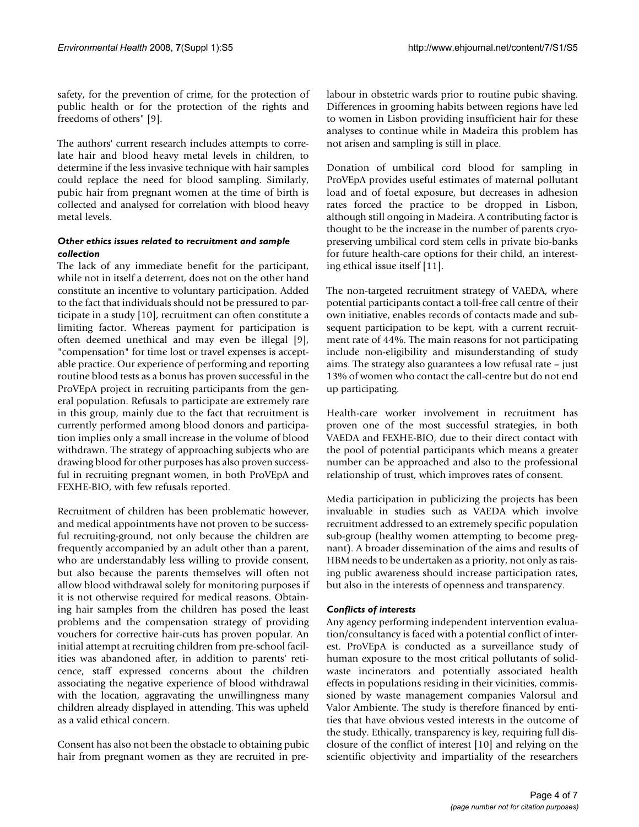safety, for the prevention of crime, for the protection of public health or for the protection of the rights and freedoms of others" [9].

The authors' current research includes attempts to correlate hair and blood heavy metal levels in children, to determine if the less invasive technique with hair samples could replace the need for blood sampling. Similarly, pubic hair from pregnant women at the time of birth is collected and analysed for correlation with blood heavy metal levels.

#### *Other ethics issues related to recruitment and sample collection*

The lack of any immediate benefit for the participant, while not in itself a deterrent, does not on the other hand constitute an incentive to voluntary participation. Added to the fact that individuals should not be pressured to participate in a study [10], recruitment can often constitute a limiting factor. Whereas payment for participation is often deemed unethical and may even be illegal [9], "compensation" for time lost or travel expenses is acceptable practice. Our experience of performing and reporting routine blood tests as a bonus has proven successful in the ProVEpA project in recruiting participants from the general population. Refusals to participate are extremely rare in this group, mainly due to the fact that recruitment is currently performed among blood donors and participation implies only a small increase in the volume of blood withdrawn. The strategy of approaching subjects who are drawing blood for other purposes has also proven successful in recruiting pregnant women, in both ProVEpA and FEXHE-BIO, with few refusals reported.

Recruitment of children has been problematic however, and medical appointments have not proven to be successful recruiting-ground, not only because the children are frequently accompanied by an adult other than a parent, who are understandably less willing to provide consent, but also because the parents themselves will often not allow blood withdrawal solely for monitoring purposes if it is not otherwise required for medical reasons. Obtaining hair samples from the children has posed the least problems and the compensation strategy of providing vouchers for corrective hair-cuts has proven popular. An initial attempt at recruiting children from pre-school facilities was abandoned after, in addition to parents' reticence, staff expressed concerns about the children associating the negative experience of blood withdrawal with the location, aggravating the unwillingness many children already displayed in attending. This was upheld as a valid ethical concern.

Consent has also not been the obstacle to obtaining pubic hair from pregnant women as they are recruited in prelabour in obstetric wards prior to routine pubic shaving. Differences in grooming habits between regions have led to women in Lisbon providing insufficient hair for these analyses to continue while in Madeira this problem has not arisen and sampling is still in place.

Donation of umbilical cord blood for sampling in ProVEpA provides useful estimates of maternal pollutant load and of foetal exposure, but decreases in adhesion rates forced the practice to be dropped in Lisbon, although still ongoing in Madeira. A contributing factor is thought to be the increase in the number of parents cryopreserving umbilical cord stem cells in private bio-banks for future health-care options for their child, an interesting ethical issue itself [11].

The non-targeted recruitment strategy of VAEDA, where potential participants contact a toll-free call centre of their own initiative, enables records of contacts made and subsequent participation to be kept, with a current recruitment rate of 44%. The main reasons for not participating include non-eligibility and misunderstanding of study aims. The strategy also guarantees a low refusal rate – just 13% of women who contact the call-centre but do not end up participating.

Health-care worker involvement in recruitment has proven one of the most successful strategies, in both VAEDA and FEXHE-BIO, due to their direct contact with the pool of potential participants which means a greater number can be approached and also to the professional relationship of trust, which improves rates of consent.

Media participation in publicizing the projects has been invaluable in studies such as VAEDA which involve recruitment addressed to an extremely specific population sub-group (healthy women attempting to become pregnant). A broader dissemination of the aims and results of HBM needs to be undertaken as a priority, not only as raising public awareness should increase participation rates, but also in the interests of openness and transparency.

#### *Conflicts of interests*

Any agency performing independent intervention evaluation/consultancy is faced with a potential conflict of interest. ProVEpA is conducted as a surveillance study of human exposure to the most critical pollutants of solidwaste incinerators and potentially associated health effects in populations residing in their vicinities, commissioned by waste management companies Valorsul and Valor Ambiente. The study is therefore financed by entities that have obvious vested interests in the outcome of the study. Ethically, transparency is key, requiring full disclosure of the conflict of interest [10] and relying on the scientific objectivity and impartiality of the researchers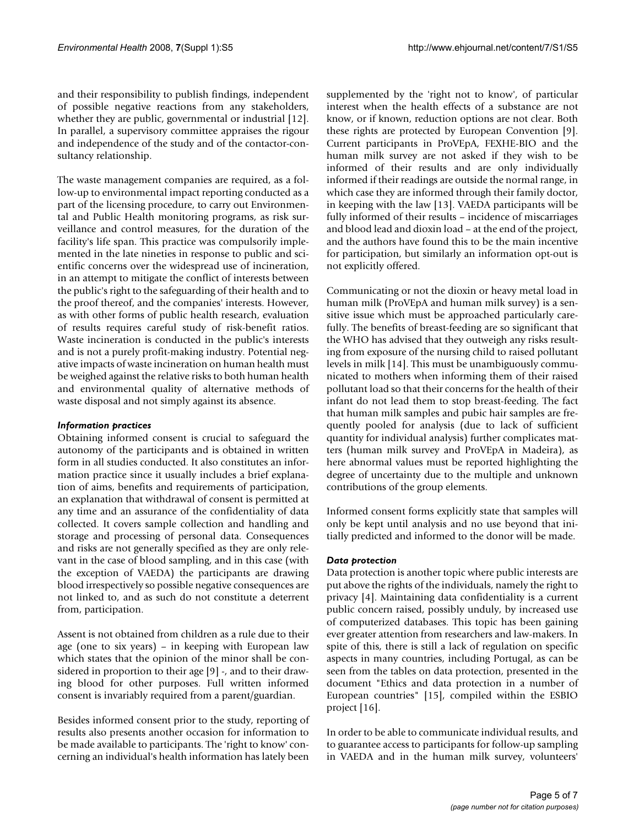and their responsibility to publish findings, independent of possible negative reactions from any stakeholders, whether they are public, governmental or industrial [12]. In parallel, a supervisory committee appraises the rigour and independence of the study and of the contactor-consultancy relationship.

The waste management companies are required, as a follow-up to environmental impact reporting conducted as a part of the licensing procedure, to carry out Environmental and Public Health monitoring programs, as risk surveillance and control measures, for the duration of the facility's life span. This practice was compulsorily implemented in the late nineties in response to public and scientific concerns over the widespread use of incineration, in an attempt to mitigate the conflict of interests between the public's right to the safeguarding of their health and to the proof thereof, and the companies' interests. However, as with other forms of public health research, evaluation of results requires careful study of risk-benefit ratios. Waste incineration is conducted in the public's interests and is not a purely profit-making industry. Potential negative impacts of waste incineration on human health must be weighed against the relative risks to both human health and environmental quality of alternative methods of waste disposal and not simply against its absence.

#### *Information practices*

Obtaining informed consent is crucial to safeguard the autonomy of the participants and is obtained in written form in all studies conducted. It also constitutes an information practice since it usually includes a brief explanation of aims, benefits and requirements of participation, an explanation that withdrawal of consent is permitted at any time and an assurance of the confidentiality of data collected. It covers sample collection and handling and storage and processing of personal data. Consequences and risks are not generally specified as they are only relevant in the case of blood sampling, and in this case (with the exception of VAEDA) the participants are drawing blood irrespectively so possible negative consequences are not linked to, and as such do not constitute a deterrent from, participation.

Assent is not obtained from children as a rule due to their age (one to six years) – in keeping with European law which states that the opinion of the minor shall be considered in proportion to their age [9] -, and to their drawing blood for other purposes. Full written informed consent is invariably required from a parent/guardian.

Besides informed consent prior to the study, reporting of results also presents another occasion for information to be made available to participants. The 'right to know' concerning an individual's health information has lately been

supplemented by the 'right not to know', of particular interest when the health effects of a substance are not know, or if known, reduction options are not clear. Both these rights are protected by European Convention [9]. Current participants in ProVEpA, FEXHE-BIO and the human milk survey are not asked if they wish to be informed of their results and are only individually informed if their readings are outside the normal range, in which case they are informed through their family doctor, in keeping with the law [13]. VAEDA participants will be fully informed of their results – incidence of miscarriages and blood lead and dioxin load – at the end of the project, and the authors have found this to be the main incentive for participation, but similarly an information opt-out is not explicitly offered.

Communicating or not the dioxin or heavy metal load in human milk (ProVEpA and human milk survey) is a sensitive issue which must be approached particularly carefully. The benefits of breast-feeding are so significant that the WHO has advised that they outweigh any risks resulting from exposure of the nursing child to raised pollutant levels in milk [14]. This must be unambiguously communicated to mothers when informing them of their raised pollutant load so that their concerns for the health of their infant do not lead them to stop breast-feeding. The fact that human milk samples and pubic hair samples are frequently pooled for analysis (due to lack of sufficient quantity for individual analysis) further complicates matters (human milk survey and ProVEpA in Madeira), as here abnormal values must be reported highlighting the degree of uncertainty due to the multiple and unknown contributions of the group elements.

Informed consent forms explicitly state that samples will only be kept until analysis and no use beyond that initially predicted and informed to the donor will be made.

#### *Data protection*

Data protection is another topic where public interests are put above the rights of the individuals, namely the right to privacy [4]. Maintaining data confidentiality is a current public concern raised, possibly unduly, by increased use of computerized databases. This topic has been gaining ever greater attention from researchers and law-makers. In spite of this, there is still a lack of regulation on specific aspects in many countries, including Portugal, as can be seen from the tables on data protection, presented in the document "Ethics and data protection in a number of European countries" [15], compiled within the ESBIO project [16].

In order to be able to communicate individual results, and to guarantee access to participants for follow-up sampling in VAEDA and in the human milk survey, volunteers'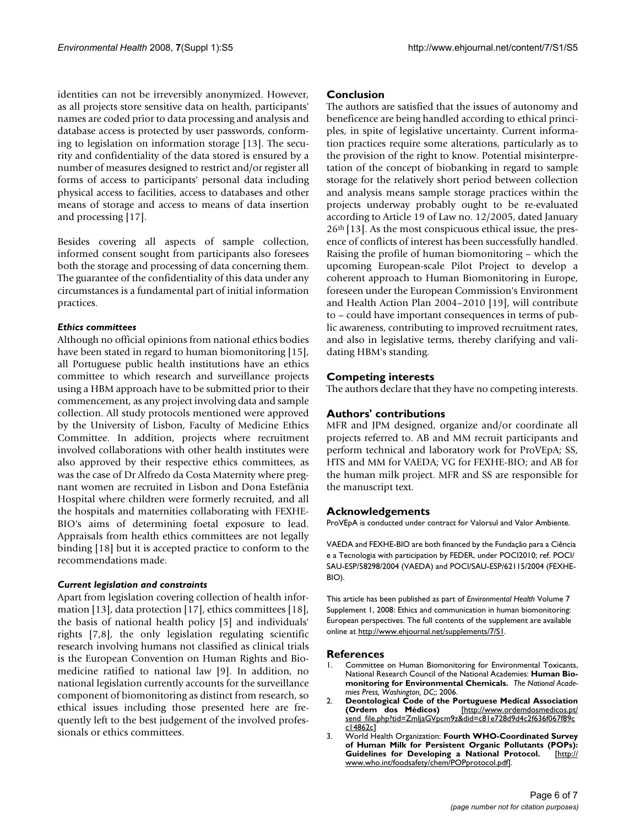identities can not be irreversibly anonymized. However, as all projects store sensitive data on health, participants' names are coded prior to data processing and analysis and database access is protected by user passwords, conforming to legislation on information storage [13]. The security and confidentiality of the data stored is ensured by a number of measures designed to restrict and/or register all forms of access to participants' personal data including physical access to facilities, access to databases and other means of storage and access to means of data insertion and processing [17].

Besides covering all aspects of sample collection, informed consent sought from participants also foresees both the storage and processing of data concerning them. The guarantee of the confidentiality of this data under any circumstances is a fundamental part of initial information practices.

#### *Ethics committees*

Although no official opinions from national ethics bodies have been stated in regard to human biomonitoring [15], all Portuguese public health institutions have an ethics committee to which research and surveillance projects using a HBM approach have to be submitted prior to their commencement, as any project involving data and sample collection. All study protocols mentioned were approved by the University of Lisbon, Faculty of Medicine Ethics Committee. In addition, projects where recruitment involved collaborations with other health institutes were also approved by their respective ethics committees, as was the case of Dr Alfredo da Costa Maternity where pregnant women are recruited in Lisbon and Dona Estefânia Hospital where children were formerly recruited, and all the hospitals and maternities collaborating with FEXHE-BIO's aims of determining foetal exposure to lead. Appraisals from health ethics committees are not legally binding [18] but it is accepted practice to conform to the recommendations made.

#### *Current legislation and constraints*

Apart from legislation covering collection of health information [13], data protection [17], ethics committees [18], the basis of national health policy [5] and individuals' rights [7,8], the only legislation regulating scientific research involving humans not classified as clinical trials is the European Convention on Human Rights and Biomedicine ratified to national law [9]. In addition, no national legislation currently accounts for the surveillance component of biomonitoring as distinct from research, so ethical issues including those presented here are frequently left to the best judgement of the involved professionals or ethics committees.

#### **Conclusion**

The authors are satisfied that the issues of autonomy and beneficence are being handled according to ethical principles, in spite of legislative uncertainty. Current information practices require some alterations, particularly as to the provision of the right to know. Potential misinterpretation of the concept of biobanking in regard to sample storage for the relatively short period between collection and analysis means sample storage practices within the projects underway probably ought to be re-evaluated according to Article 19 of Law no. 12/2005, dated January  $26<sup>th</sup>$  [13]. As the most conspicuous ethical issue, the presence of conflicts of interest has been successfully handled. Raising the profile of human biomonitoring – which the upcoming European-scale Pilot Project to develop a coherent approach to Human Biomonitoring in Europe, foreseen under the European Commission's Environment and Health Action Plan 2004–2010 [19], will contribute to – could have important consequences in terms of public awareness, contributing to improved recruitment rates, and also in legislative terms, thereby clarifying and validating HBM's standing.

#### **Competing interests**

The authors declare that they have no competing interests.

#### **Authors' contributions**

MFR and JPM designed, organize and/or coordinate all projects referred to. AB and MM recruit participants and perform technical and laboratory work for ProVEpA; SS, HTS and MM for VAEDA; VG for FEXHE-BIO; and AB for the human milk project. MFR and SS are responsible for the manuscript text.

#### **Acknowledgements**

ProVEpA is conducted under contract for Valorsul and Valor Ambiente.

VAEDA and FEXHE-BIO are both financed by the Fundação para a Ciência e a Tecnologia with participation by FEDER, under POCI2010; ref. POCI/ SAU-ESP/58298/2004 (VAEDA) and POCI/SAU-ESP/62115/2004 (FEXHE-BIO).

This article has been published as part of *Environmental Health* Volume 7 Supplement 1, 2008: Ethics and communication in human biomonitoring: European perspectives. The full contents of the supplement are available online at<http://www.ehjournal.net/supplements/7/S1>.

#### **References**

- 1. Committee on Human Biomonitoring for Environmental Toxicants, National Research Council of the National Academies: **Human Biomonitoring for Environmental Chemicals.** *The National Academies Press, Washington, DC;*; 2006.
- 2. **Deontological Code of the Portuguese Medical Association** [[http://www.ordemdosmedicos.pt/](http://www.ordemdosmedicos.pt/send_file.php?tid=ZmljaGVpcm9z&did=c81e728d9d4c2f636f067f89cc14862c) [send\\_file.php?tid=ZmljaGVpcm9z&did=c81e728d9d4c2f636f067f89c](http://www.ordemdosmedicos.pt/send_file.php?tid=ZmljaGVpcm9z&did=c81e728d9d4c2f636f067f89cc14862c) [c14862c](http://www.ordemdosmedicos.pt/send_file.php?tid=ZmljaGVpcm9z&did=c81e728d9d4c2f636f067f89cc14862c)]
- 3. World Health Organization: **Fourth WHO-Coordinated Survey of Human Milk for Persistent Organic Pollutants (POPs):** Guidelines for Developing a National Protocol. [\[http://](http://www.who.int/foodsafety/chem/POPprotocol.pdf) [www.who.int/foodsafety/chem/POPprotocol.pdf\]](http://www.who.int/foodsafety/chem/POPprotocol.pdf).